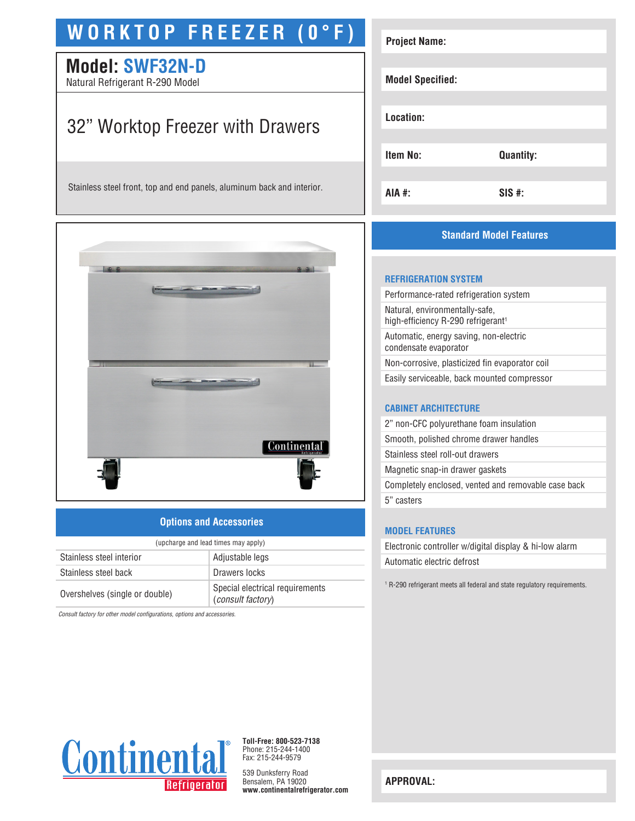# **WORKTOP FREEZER (0°F)**

# **Model: SWF32N-D**

Natural Refrigerant R-290 Model

# 32" Worktop Freezer with Drawers

Stainless steel front, top and end panels, aluminum back and interior.



# **Options and Accessories**

| (upcharge and lead times may apply) |                                                      |  |
|-------------------------------------|------------------------------------------------------|--|
| Stainless steel interior            | Adjustable legs                                      |  |
| Stainless steel back                | Drawers locks                                        |  |
| Overshelves (single or double)      | Special electrical requirements<br>(consult factory) |  |

*Consult factory for other model configurations, options and accessories.*

| <b>Project Name:</b>    |                  |
|-------------------------|------------------|
| <b>Model Specified:</b> |                  |
| Location:               |                  |
| <b>Item No:</b>         | <b>Quantity:</b> |
| AIA #:                  | SIS #:           |

# **Standard Model Features**

#### **REFRIGERATION SYSTEM**

Performance-rated refrigeration system Natural, environmentally-safe, high-efficiency R-290 refrigerant<sup>1</sup> Automatic, energy saving, non-electric condensate evaporator Non-corrosive, plasticized fin evaporator coil Easily serviceable, back mounted compressor

### **CABINET ARCHITECTURE**

2" non-CFC polyurethane foam insulation Smooth, polished chrome drawer handles Stainless steel roll-out drawers Magnetic snap-in drawer gaskets Completely enclosed, vented and removable case back 5" casters

### **MODEL FEATURES**

Electronic controller w/digital display & hi-low alarm Automatic electric defrost

1 R-290 refrigerant meets all federal and state regulatory requirements.



**Toll-Free: 800-523-7138** Phone: 215-244-1400 Fax: 215-244-9579

539 Dunksferry Road Bensalem, PA 19020 **www.continentalrefrigerator.com** 

**APPROVAL:**